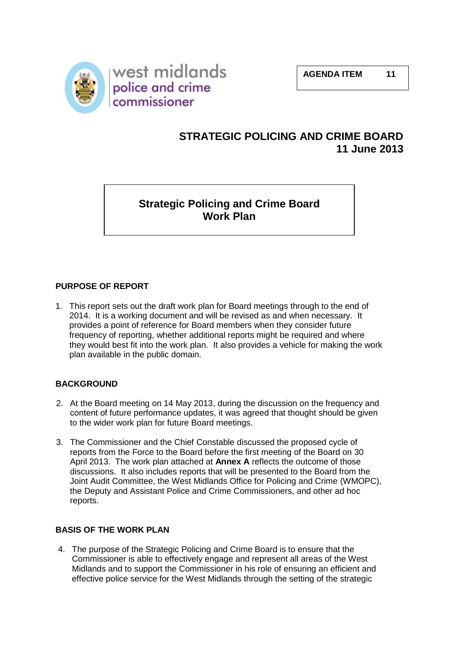

# **STRATEGIC POLICING AND CRIME BOARD 11 June 2013**

**Strategic Policing and Crime Board Work Plan**

# **PURPOSE OF REPORT**

1. This report sets out the draft work plan for Board meetings through to the end of 2014. It is a working document and will be revised as and when necessary. It provides a point of reference for Board members when they consider future frequency of reporting, whether additional reports might be required and where they would best fit into the work plan. It also provides a vehicle for making the work plan available in the public domain.

## **BACKGROUND**

- 2. At the Board meeting on 14 May 2013, during the discussion on the frequency and content of future performance updates, it was agreed that thought should be given to the wider work plan for future Board meetings.
- 3. The Commissioner and the Chief Constable discussed the proposed cycle of reports from the Force to the Board before the first meeting of the Board on 30 April 2013. The work plan attached at **Annex A** reflects the outcome of those discussions. It also includes reports that will be presented to the Board from the Joint Audit Committee, the West Midlands Office for Policing and Crime (WMOPC), the Deputy and Assistant Police and Crime Commissioners, and other ad hoc reports.

## **BASIS OF THE WORK PLAN**

4. The purpose of the Strategic Policing and Crime Board is to ensure that the Commissioner is able to effectively engage and represent all areas of the West Midlands and to support the Commissioner in his role of ensuring an efficient and effective police service for the West Midlands through the setting of the strategic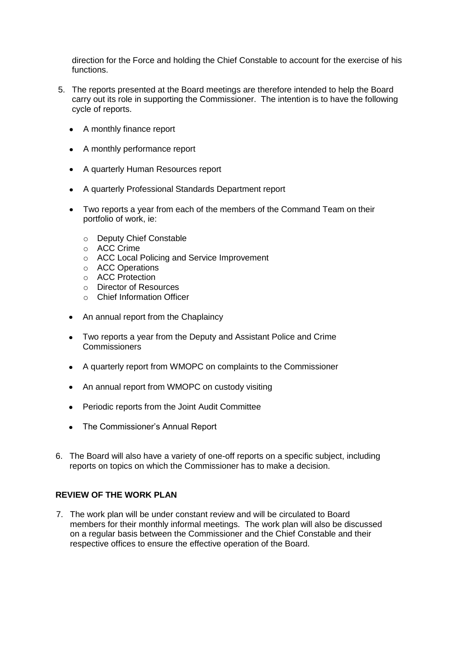direction for the Force and holding the Chief Constable to account for the exercise of his functions.

- 5. The reports presented at the Board meetings are therefore intended to help the Board carry out its role in supporting the Commissioner. The intention is to have the following cycle of reports.
	- A monthly finance report
	- A monthly performance report
	- A quarterly Human Resources report
	- A quarterly Professional Standards Department report
	- Two reports a year from each of the members of the Command Team on their portfolio of work, ie:
		- o Deputy Chief Constable
		- o ACC Crime
		- o ACC Local Policing and Service Improvement
		- o ACC Operations
		- o ACC Protection
		- o Director of Resources
		- o Chief Information Officer
	- An annual report from the Chaplaincy
	- Two reports a year from the Deputy and Assistant Police and Crime Commissioners
	- $\bullet$ A quarterly report from WMOPC on complaints to the Commissioner
	- An annual report from WMOPC on custody visiting
	- Periodic reports from the Joint Audit Committee
	- The Commissioner's Annual Report
- 6. The Board will also have a variety of one-off reports on a specific subject, including reports on topics on which the Commissioner has to make a decision.

## **REVIEW OF THE WORK PLAN**

7. The work plan will be under constant review and will be circulated to Board members for their monthly informal meetings. The work plan will also be discussed on a regular basis between the Commissioner and the Chief Constable and their respective offices to ensure the effective operation of the Board.